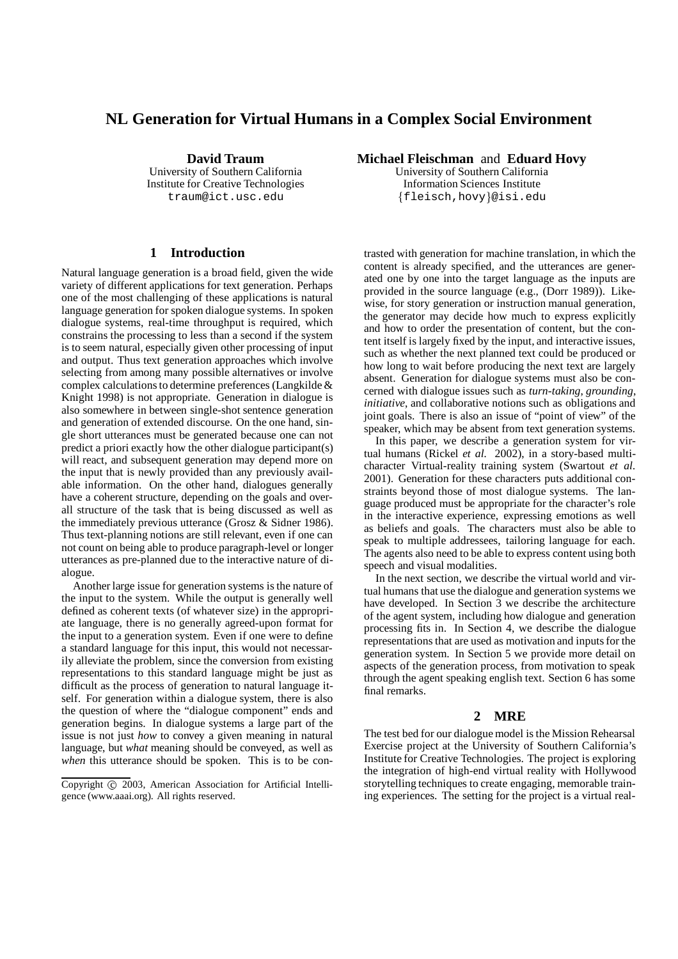# **NL Generation for Virtual Humans in a Complex Social Environment**

**David Traum** University of Southern California Institute for Creative Technologies traum@ict.usc.edu

#### **1 Introduction**

Natural language generation is a broad field, given the wide variety of different applications for text generation. Perhaps one of the most challenging of these applications is natural language generation for spoken dialogue systems. In spoken dialogue systems, real-time throughput is required, which constrains the processing to less than a second if the system is to seem natural, especially given other processing of input and output. Thus text generation approaches which involve selecting from among many possible alternatives or involve complex calculationsto determine preferences (Langkilde & Knight 1998) is not appropriate. Generation in dialogue is also somewhere in between single-shot sentence generation and generation of extended discourse. On the one hand, single short utterances must be generated because one can not predict a priori exactly how the other dialogue participant(s) will react, and subsequent generation may depend more on the input that is newly provided than any previously available information. On the other hand, dialogues generally have a coherent structure, depending on the goals and overall structure of the task that is being discussed as well as the immediately previous utterance (Grosz & Sidner 1986). Thus text-planning notions are still relevant, even if one can not count on being able to produce paragraph-level or longer utterances as pre-planned due to the interactive nature of dialogue.

Another large issue for generation systems is the nature of the input to the system. While the output is generally well defined as coherent texts (of whatever size) in the appropriate language, there is no generally agreed-upon format for the input to a generation system. Even if one were to define a standard language for this input, this would not necessarily alleviate the problem, since the conversion from existing representations to this standard language might be just as difficult as the process of generation to natural language itself. For generation within a dialogue system, there is also the question of where the "dialogue component" ends and generation begins. In dialogue systems a large part of the issue is not just *how* to convey a given meaning in natural language, but *what* meaning should be conveyed, as well as *when* this utterance should be spoken. This is to be con**Michael Fleischman** and **Eduard Hovy**

University of Southern California Information Sciences Institute  $\left\{ \text{fleisch}, \text{hovy} \right\}$ @isi.edu

trasted with generation for machine translation, in which the content is already specified, and the utterances are generated one by one into the target language as the inputs are provided in the source language (e.g., (Dorr 1989)). Likewise, for story generation or instruction manual generation, the generator may decide how much to express explicitly and how to order the presentation of content, but the content itself is largely fixed by the input, and interactive issues, such as whether the next planned text could be produced or how long to wait before producing the next text are largely absent. Generation for dialogue systems must also be concerned with dialogue issues such as *turn-taking*, *grounding*, *initiative*, and collaborative notions such as obligations and joint goals. There is also an issue of "point of view" of the speaker, which may be absent from text generation systems.

In this paper, we describe a generation system for virtual humans (Rickel *et al.* 2002), in a story-based multicharacter Virtual-reality training system (Swartout *et al.* 2001). Generation for these characters puts additional constraints beyond those of most dialogue systems. The language produced must be appropriate for the character's role in the interactive experience, expressing emotions as well as beliefs and goals. The characters must also be able to speak to multiple addressees, tailoring language for each. The agents also need to be able to express content using both speech and visual modalities.

In the next section, we describe the virtual world and virtual humans that use the dialogue and generation systems we have developed. In Section 3 we describe the architecture of the agent system, including how dialogue and generation processing fits in. In Section 4, we describe the dialogue representations that are used as motivation and inputs for the generation system. In Section 5 we provide more detail on aspects of the generation process, from motivation to speak through the agent speaking english text. Section 6 has some final remarks.

## **2 MRE**

The test bed for our dialogue model is the Mission Rehearsal Exercise project at the University of Southern California's Institute for Creative Technologies. The project is exploring the integration of high-end virtual reality with Hollywood storytelling techniques to create engaging, memorable training experiences. The setting for the project is a virtual real-

Copyright © 2003, American Association for Artificial Intelligence (www.aaai.org). All rights reserved.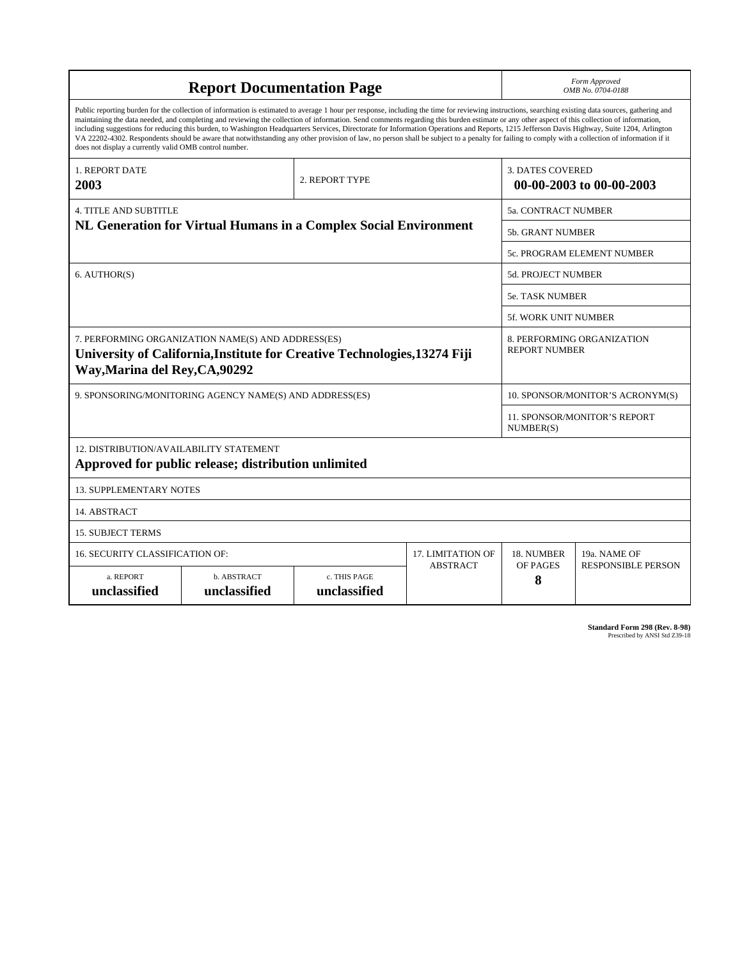| <b>Report Documentation Page</b>                                                                                                                                                                                                                                                                                                                                                                                                                                                                                                                                                                                                                                                                                                                                                                                                                                   |                                                                                                                                 |                                                    |                 |                                                     | Form Approved<br>OMB No. 0704-0188               |  |
|--------------------------------------------------------------------------------------------------------------------------------------------------------------------------------------------------------------------------------------------------------------------------------------------------------------------------------------------------------------------------------------------------------------------------------------------------------------------------------------------------------------------------------------------------------------------------------------------------------------------------------------------------------------------------------------------------------------------------------------------------------------------------------------------------------------------------------------------------------------------|---------------------------------------------------------------------------------------------------------------------------------|----------------------------------------------------|-----------------|-----------------------------------------------------|--------------------------------------------------|--|
| Public reporting burden for the collection of information is estimated to average 1 hour per response, including the time for reviewing instructions, searching existing data sources, gathering and<br>maintaining the data needed, and completing and reviewing the collection of information. Send comments regarding this burden estimate or any other aspect of this collection of information,<br>including suggestions for reducing this burden, to Washington Headquarters Services, Directorate for Information Operations and Reports, 1215 Jefferson Davis Highway, Suite 1204, Arlington<br>VA 22202-4302. Respondents should be aware that notwithstanding any other provision of law, no person shall be subject to a penalty for failing to comply with a collection of information if it<br>does not display a currently valid OMB control number. |                                                                                                                                 |                                                    |                 |                                                     |                                                  |  |
| <b>1. REPORT DATE</b><br>2003                                                                                                                                                                                                                                                                                                                                                                                                                                                                                                                                                                                                                                                                                                                                                                                                                                      | 2. REPORT TYPE                                                                                                                  |                                                    |                 | <b>3. DATES COVERED</b><br>00-00-2003 to 00-00-2003 |                                                  |  |
| <b>4. TITLE AND SUBTITLE</b>                                                                                                                                                                                                                                                                                                                                                                                                                                                                                                                                                                                                                                                                                                                                                                                                                                       |                                                                                                                                 |                                                    |                 |                                                     | 5a. CONTRACT NUMBER                              |  |
| NL Generation for Virtual Humans in a Complex Social Environment                                                                                                                                                                                                                                                                                                                                                                                                                                                                                                                                                                                                                                                                                                                                                                                                   |                                                                                                                                 |                                                    |                 | <b>5b. GRANT NUMBER</b>                             |                                                  |  |
|                                                                                                                                                                                                                                                                                                                                                                                                                                                                                                                                                                                                                                                                                                                                                                                                                                                                    |                                                                                                                                 |                                                    |                 | 5c. PROGRAM ELEMENT NUMBER                          |                                                  |  |
| 6. AUTHOR(S)                                                                                                                                                                                                                                                                                                                                                                                                                                                                                                                                                                                                                                                                                                                                                                                                                                                       |                                                                                                                                 |                                                    |                 | <b>5d. PROJECT NUMBER</b>                           |                                                  |  |
|                                                                                                                                                                                                                                                                                                                                                                                                                                                                                                                                                                                                                                                                                                                                                                                                                                                                    |                                                                                                                                 |                                                    |                 | <b>5e. TASK NUMBER</b>                              |                                                  |  |
|                                                                                                                                                                                                                                                                                                                                                                                                                                                                                                                                                                                                                                                                                                                                                                                                                                                                    |                                                                                                                                 |                                                    |                 |                                                     | 5f. WORK UNIT NUMBER                             |  |
| Way, Marina del Rey, CA, 90292                                                                                                                                                                                                                                                                                                                                                                                                                                                                                                                                                                                                                                                                                                                                                                                                                                     | 7. PERFORMING ORGANIZATION NAME(S) AND ADDRESS(ES)<br>University of California, Institute for Creative Technologies, 13274 Fiji | 8. PERFORMING ORGANIZATION<br><b>REPORT NUMBER</b> |                 |                                                     |                                                  |  |
| 9. SPONSORING/MONITORING AGENCY NAME(S) AND ADDRESS(ES)                                                                                                                                                                                                                                                                                                                                                                                                                                                                                                                                                                                                                                                                                                                                                                                                            |                                                                                                                                 |                                                    |                 |                                                     | 10. SPONSOR/MONITOR'S ACRONYM(S)                 |  |
|                                                                                                                                                                                                                                                                                                                                                                                                                                                                                                                                                                                                                                                                                                                                                                                                                                                                    |                                                                                                                                 |                                                    |                 |                                                     | <b>11. SPONSOR/MONITOR'S REPORT</b><br>NUMBER(S) |  |
| 12. DISTRIBUTION/AVAILABILITY STATEMENT<br>Approved for public release; distribution unlimited                                                                                                                                                                                                                                                                                                                                                                                                                                                                                                                                                                                                                                                                                                                                                                     |                                                                                                                                 |                                                    |                 |                                                     |                                                  |  |
| <b>13. SUPPLEMENTARY NOTES</b>                                                                                                                                                                                                                                                                                                                                                                                                                                                                                                                                                                                                                                                                                                                                                                                                                                     |                                                                                                                                 |                                                    |                 |                                                     |                                                  |  |
| 14. ABSTRACT                                                                                                                                                                                                                                                                                                                                                                                                                                                                                                                                                                                                                                                                                                                                                                                                                                                       |                                                                                                                                 |                                                    |                 |                                                     |                                                  |  |
| <b>15. SUBJECT TERMS</b>                                                                                                                                                                                                                                                                                                                                                                                                                                                                                                                                                                                                                                                                                                                                                                                                                                           |                                                                                                                                 |                                                    |                 |                                                     |                                                  |  |
| 16. SECURITY CLASSIFICATION OF:                                                                                                                                                                                                                                                                                                                                                                                                                                                                                                                                                                                                                                                                                                                                                                                                                                    |                                                                                                                                 | <b>17. LIMITATION OF</b>                           | 18. NUMBER      | 19a. NAME OF                                        |                                                  |  |
| a. REPORT<br>unclassified                                                                                                                                                                                                                                                                                                                                                                                                                                                                                                                                                                                                                                                                                                                                                                                                                                          | b. ABSTRACT<br>unclassified                                                                                                     | c. THIS PAGE<br>unclassified                       | <b>ABSTRACT</b> | OF PAGES<br>8                                       | <b>RESPONSIBLE PERSON</b>                        |  |

**Standard Form 298 (Rev. 8-98)**<br>Prescribed by ANSI Std Z39-18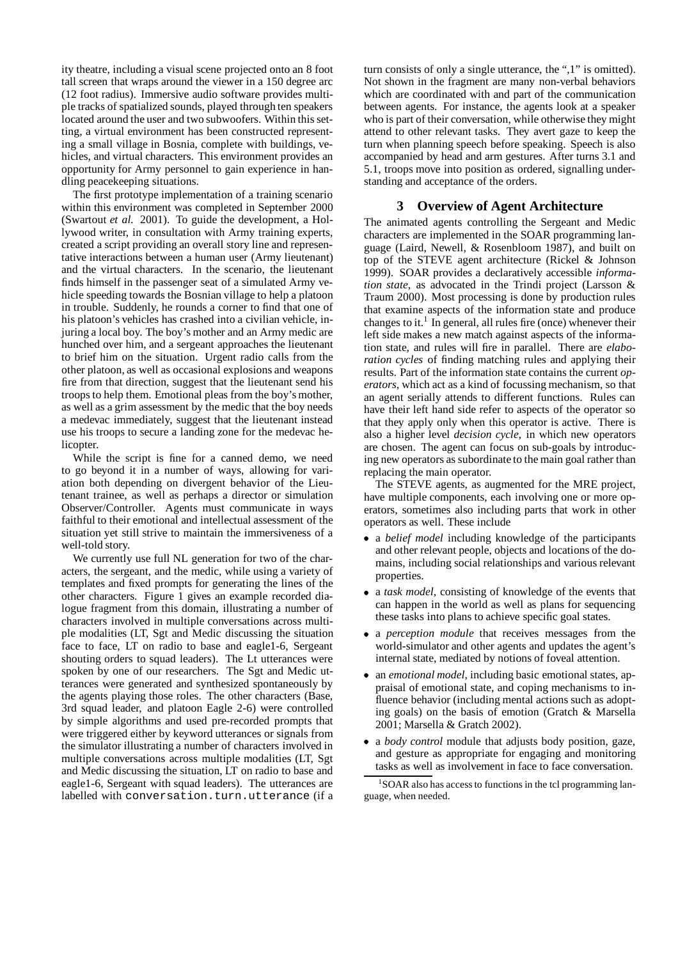ity theatre, including a visual scene projected onto an 8 foot tall screen that wraps around the viewer in a 150 degree arc (12 foot radius). Immersive audio software provides multiple tracks of spatialized sounds, played through ten speakers located around the user and two subwoofers. Within this setting, a virtual environment has been constructed representing a small village in Bosnia, complete with buildings, vehicles, and virtual characters. This environment provides an opportunity for Army personnel to gain experience in handling peacekeeping situations.

The first prototype implementation of a training scenario within this environment was completed in September 2000 (Swartout *et al.* 2001). To guide the development, a Hollywood writer, in consultation with Army training experts, created a script providing an overall story line and representative interactions between a human user (Army lieutenant) and the virtual characters. In the scenario, the lieutenant finds himself in the passenger seat of a simulated Army vehicle speeding towards the Bosnian village to help a platoon in trouble. Suddenly, he rounds a corner to find that one of his platoon's vehicles has crashed into a civilian vehicle, injuring a local boy. The boy's mother and an Army medic are hunched over him, and a sergeant approaches the lieutenant to brief him on the situation. Urgent radio calls from the other platoon, as well as occasional explosions and weapons fire from that direction, suggest that the lieutenant send his troops to help them. Emotional pleas from the boy's mother, as well as a grim assessment by the medic that the boy needs a medevac immediately, suggest that the lieutenant instead use his troops to secure a landing zone for the medevac helicopter.

While the script is fine for a canned demo, we need to go beyond it in a number of ways, allowing for variation both depending on divergent behavior of the Lieutenant trainee, as well as perhaps a director or simulation Observer/Controller. Agents must communicate in ways faithful to their emotional and intellectual assessment of the situation yet still strive to maintain the immersiveness of a well-told story.

We currently use full NL generation for two of the characters, the sergeant, and the medic, while using a variety of templates and fixed prompts for generating the lines of the other characters. Figure 1 gives an example recorded dialogue fragment from this domain, illustrating a number of characters involved in multiple conversations across multiple modalities (LT, Sgt and Medic discussing the situation face to face, LT on radio to base and eagle1-6, Sergeant shouting orders to squad leaders). The Lt utterances were spoken by one of our researchers. The Sgt and Medic utterances were generated and synthesized spontaneously by the agents playing those roles. The other characters (Base, 3rd squad leader, and platoon Eagle 2-6) were controlled by simple algorithms and used pre-recorded prompts that were triggered either by keyword utterances or signals from the simulator illustrating a number of characters involved in multiple conversations across multiple modalities (LT, Sgt and Medic discussing the situation, LT on radio to base and eagle1-6, Sergeant with squad leaders). The utterances are labelled with conversation.turn.utterance (if a

turn consists of only a single utterance, the ",1" is omitted). Not shown in the fragment are many non-verbal behaviors which are coordinated with and part of the communication between agents. For instance, the agents look at a speaker who is part of their conversation, while otherwise they might attend to other relevant tasks. They avert gaze to keep the turn when planning speech before speaking. Speech is also accompanied by head and arm gestures. After turns 3.1 and 5.1, troops move into position as ordered, signalling understanding and acceptance of the orders.

## **3 Overview of Agent Architecture**

The animated agents controlling the Sergeant and Medic characters are implemented in the SOAR programming language (Laird, Newell, & Rosenbloom 1987), and built on top of the STEVE agent architecture (Rickel & Johnson 1999). SOAR provides a declaratively accessible *information state*, as advocated in the Trindi project (Larsson & Traum 2000). Most processing is done by production rules that examine aspects of the information state and produce changes to it.<sup>1</sup> In general, all rules fire (once) whenever their left side makes a new match against aspects of the information state, and rules will fire in parallel. There are *elaboration cycles* of finding matching rules and applying their results. Part of the information state contains the current *operators*, which act as a kind of focussing mechanism, so that an agent serially attends to different functions. Rules can have their left hand side refer to aspects of the operator so that they apply only when this operator is active. There is also a higher level *decision cycle*, in which new operators are chosen. The agent can focus on sub-goals by introducing new operators as subordinate to the main goal rather than replacing the main operator.

The STEVE agents, as augmented for the MRE project, have multiple components, each involving one or more operators, sometimes also including parts that work in other operators as well. These include

- a *belief model* including knowledge of the participants and other relevant people, objects and locations of the domains, including social relationships and various relevant properties.
- a *task model*, consisting of knowledge of the events that can happen in the world as well as plans for sequencing these tasks into plans to achieve specific goal states.
- a *perception module* that receives messages from the world-simulator and other agents and updates the agent's internal state, mediated by notions of foveal attention.
- an *emotional model*, including basic emotional states, appraisal of emotional state, and coping mechanisms to influence behavior (including mental actions such as adopting goals) on the basis of emotion (Gratch & Marsella 2001; Marsella & Gratch 2002).
- a *body control* module that adjusts body position, gaze, and gesture as appropriate for engaging and monitoring tasks as well as involvement in face to face conversation.

<sup>&</sup>lt;sup>1</sup>SOAR also has access to functions in the tcl programming language, when needed.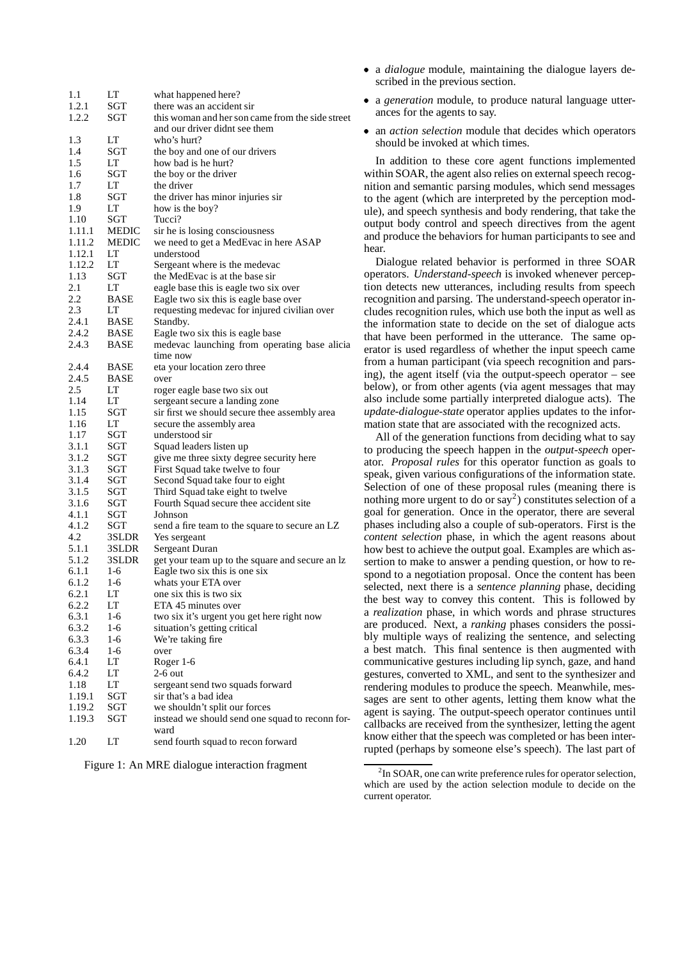| 1.1    | LT           | what happened here?                              |
|--------|--------------|--------------------------------------------------|
| 1.2.1  | SGT          | there was an accident sir                        |
| 1.2.2  | SGT          | this woman and her son came from the side street |
|        |              | and our driver didnt see them                    |
| 1.3    | LT           | who's hurt?                                      |
| 1.4    | SGT          | the boy and one of our drivers                   |
| 1.5    | LT           | how bad is he hurt?                              |
| 1.6    | SGT          | the boy or the driver                            |
| 1.7    | LT           | the driver                                       |
| 1.8    | SGT          | the driver has minor injuries sir                |
| 1.9    | LT           | how is the boy?                                  |
| 1.10   | SGT          | Tucci?                                           |
| 1.11.1 | <b>MEDIC</b> |                                                  |
|        |              | sir he is losing consciousness                   |
| 1.11.2 | <b>MEDIC</b> | we need to get a MedEvac in here ASAP            |
| 1.12.1 | LT           | understood                                       |
| 1.12.2 | LT           | Sergeant where is the medevac                    |
| 1.13   | SGT          | the MedEvac is at the base sir                   |
| 2.1    | LT           | eagle base this is eagle two six over            |
| 2.2    | BASE         | Eagle two six this is eagle base over            |
| 2.3    | LT           | requesting medevac for injured civilian over     |
| 2.4.1  | BASE         | Standby.                                         |
| 2.4.2  | <b>BASE</b>  | Eagle two six this is eagle base                 |
| 2.4.3  | <b>BASE</b>  | medevac launching from operating base alicia     |
|        |              | time now                                         |
| 2.4.4  | BASE         | eta your location zero three                     |
| 2.4.5  | BASE         | over                                             |
| 2.5    | LT           | roger eagle base two six out                     |
| 1.14   | LТ           | sergeant secure a landing zone                   |
| 1.15   | SGT          | sir first we should secure thee assembly area    |
| 1.16   | LT           | secure the assembly area                         |
| 1.17   | SGT          | understood sir                                   |
| 3.1.1  | SGT          | Squad leaders listen up                          |
| 3.1.2  | SGT          | give me three sixty degree security here         |
| 3.1.3  | SGT          | First Squad take twelve to four                  |
| 3.1.4  | SGT          | Second Squad take four to eight                  |
| 3.1.5  | SGT          | Third Squad take eight to twelve                 |
| 3.1.6  | SGT          | Fourth Squad secure thee accident site           |
| 4.1.1  | SGT          | Johnson                                          |
| 4.1.2  | SGT          | send a fire team to the square to secure an LZ   |
| 4.2    | 3SLDR        | Yes sergeant                                     |
| 5.1.1  | 3SLDR        | Sergeant Duran                                   |
| 5.1.2  | 3SLDR        | get your team up to the square and secure an lz  |
| 6.1.1  | $1-6$        | Eagle two six this is one six                    |
| 6.1.2  | $1-6$        | whats your ETA over                              |
| 6.2.1  | LT           | one six this is two six                          |
| 6.2.2  | LT           | ETA 45 minutes over                              |
| 6.3.1  | 1-6          | two six it's urgent you get here right now       |
| 6.3.2  | 1-6          | situation's getting critical                     |
| 6.3.3  | 1-6          | We're taking fire                                |
| 6.3.4  | 1-6          | over                                             |
| 6.4.1  | LT           | Roger 1-6                                        |
| 6.4.2  | LT           | $2-6$ out                                        |
| 1.18   | LT           | sergeant send two squads forward                 |
| 1.19.1 | SGT          | sir that's a bad idea                            |
| 1.19.2 | SGT          | we shouldn't split our forces                    |
| 1.19.3 | SGT          | instead we should send one squad to reconn for-  |
|        |              | ward                                             |
| 1.20   | LT           | send fourth squad to recon forward               |

Figure 1: An MRE dialogue interaction fragment

- a *dialogue* module, maintaining the dialogue layers described in the previous section.
- a *generation* module, to produce natural language utterances for the agents to say.
- an *action selection* module that decides which operators should be invoked at which times.

In addition to these core agent functions implemented within SOAR, the agent also relies on external speech recognition and semantic parsing modules, which send messages to the agent (which are interpreted by the perception module), and speech synthesis and body rendering, that take the output body control and speech directives from the agent and produce the behaviors for human participants to see and hear.

Dialogue related behavior is performed in three SOAR operators. *Understand-speech* is invoked whenever perception detects new utterances, including results from speech recognition and parsing. The understand-speech operator includes recognition rules, which use both the input as well as the information state to decide on the set of dialogue acts that have been performed in the utterance. The same operator is used regardless of whether the input speech came from a human participant (via speech recognition and parsing), the agent itself (via the output-speech operator – see below), or from other agents (via agent messages that may also include some partially interpreted dialogue acts). The *update-dialogue-state* operator applies updates to the information state that are associated with the recognized acts.

All of the generation functions from deciding what to say to producing the speech happen in the *output-speech* operator. *Proposal rules* for this operator function as goals to speak, given various configurations of the information state. Selection of one of these proposal rules (meaning there is nothing more urgent to do or say<sup>2</sup>) constitutes selection of a goal for generation. Once in the operator, there are several phases including also a couple of sub-operators. First is the *content selection* phase, in which the agent reasons about how best to achieve the output goal. Examples are which assertion to make to answer a pending question, or how to respond to a negotiation proposal. Once the content has been selected, next there is a *sentence planning* phase, deciding the best way to convey this content. This is followed by a *realization* phase, in which words and phrase structures are produced. Next, a *ranking* phases considers the possibly multiple ways of realizing the sentence, and selecting a best match. This final sentence is then augmented with communicative gestures including lip synch, gaze, and hand gestures, converted to XML, and sent to the synthesizer and rendering modules to produce the speech. Meanwhile, messages are sent to other agents, letting them know what the agent is saying. The output-speech operator continues until callbacks are received from the synthesizer, letting the agent know either that the speech was completed or has been interrupted (perhaps by someone else's speech). The last part of

 $2$ In SOAR, one can write preference rules for operator selection, which are used by the action selection module to decide on the current operator.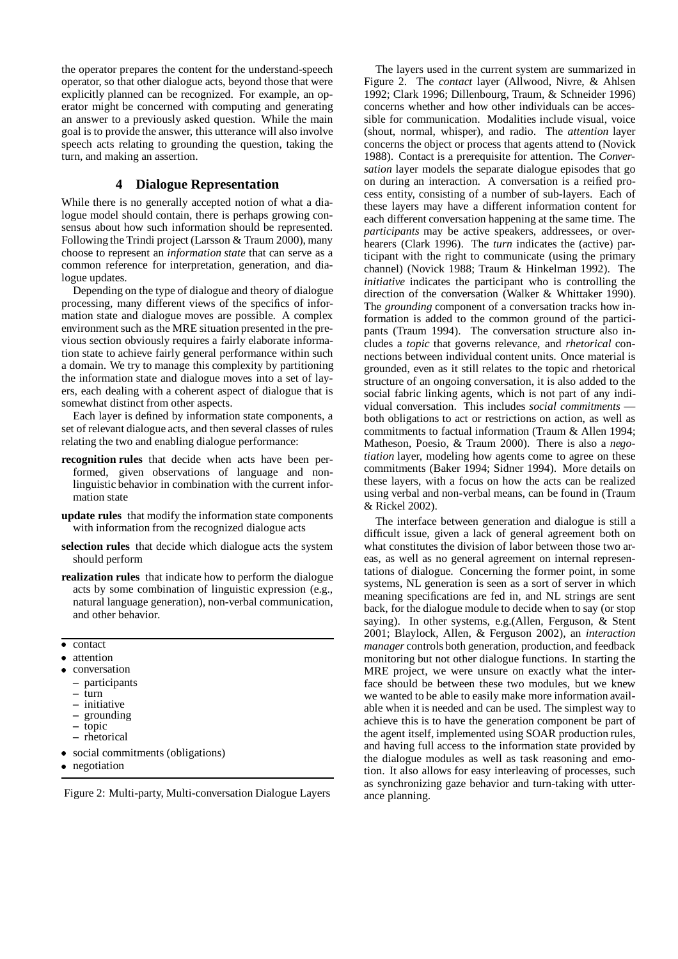the operator prepares the content for the understand-speech operator, so that other dialogue acts, beyond those that were explicitly planned can be recognized. For example, an operator might be concerned with computing and generating an answer to a previously asked question. While the main goal is to provide the answer, this utterance will also involve speech acts relating to grounding the question, taking the turn, and making an assertion.

## **4 Dialogue Representation**

While there is no generally accepted notion of what a dialogue model should contain, there is perhaps growing consensus about how such information should be represented. Following the Trindi project (Larsson & Traum 2000), many choose to represent an *information state* that can serve as a common reference for interpretation, generation, and dialogue updates.

Depending on the type of dialogue and theory of dialogue processing, many different views of the specifics of information state and dialogue moves are possible. A complex environment such as the MRE situation presented in the previous section obviously requires a fairly elaborate information state to achieve fairly general performance within such a domain. We try to manage this complexity by partitioning the information state and dialogue moves into a set of layers, each dealing with a coherent aspect of dialogue that is somewhat distinct from other aspects.

Each layer is defined by information state components, a set of relevant dialogue acts, and then several classes of rules relating the two and enabling dialogue performance:

- **recognition rules** that decide when acts have been performed, given observations of language and nonlinguistic behavior in combination with the current information state
- **update rules** that modify the information state components with information from the recognized dialogue acts
- **selection rules** that decide which dialogue acts the system should perform
- **realization rules** that indicate how to perform the dialogue acts by some combination of linguistic expression (e.g., natural language generation), non-verbal communication, and other behavior.
- contact
- attention
- conversation
	- **–** participants **–** turn
	- **–** initiative
	- **–** grounding
	- **–** topic
	- **–** rhetorical
- social commitments (obligations)
- negotiation

Figure 2: Multi-party, Multi-conversation Dialogue Layers

The layers used in the current system are summarized in Figure 2. The *contact* layer (Allwood, Nivre, & Ahlsen 1992; Clark 1996; Dillenbourg, Traum, & Schneider 1996) concerns whether and how other individuals can be accessible for communication. Modalities include visual, voice (shout, normal, whisper), and radio. The *attention* layer concerns the object or process that agents attend to (Novick 1988). Contact is a prerequisite for attention. The *Conversation* layer models the separate dialogue episodes that go on during an interaction. A conversation is a reified process entity, consisting of a number of sub-layers. Each of these layers may have a different information content for each different conversation happening at the same time. The *participants* may be active speakers, addressees, or overhearers (Clark 1996). The *turn* indicates the (active) participant with the right to communicate (using the primary channel) (Novick 1988; Traum & Hinkelman 1992). The *initiative* indicates the participant who is controlling the direction of the conversation (Walker & Whittaker 1990). The *grounding* component of a conversation tracks how information is added to the common ground of the participants (Traum 1994). The conversation structure also includes a *topic* that governs relevance, and *rhetorical* connections between individual content units. Once material is grounded, even as it still relates to the topic and rhetorical structure of an ongoing conversation, it is also added to the social fabric linking agents, which is not part of any individual conversation. This includes *social commitments* both obligations to act or restrictions on action, as well as commitments to factual information (Traum & Allen 1994; Matheson, Poesio, & Traum 2000). There is also a *negotiation* layer, modeling how agents come to agree on these commitments (Baker 1994; Sidner 1994). More details on these layers, with a focus on how the acts can be realized using verbal and non-verbal means, can be found in (Traum & Rickel 2002).

The interface between generation and dialogue is still a difficult issue, given a lack of general agreement both on what constitutes the division of labor between those two areas, as well as no general agreement on internal representations of dialogue. Concerning the former point, in some systems, NL generation is seen as a sort of server in which meaning specifications are fed in, and NL strings are sent back, for the dialogue module to decide when to say (or stop saying). In other systems, e.g.(Allen, Ferguson, & Stent 2001; Blaylock, Allen, & Ferguson 2002), an *interaction manager* controls both generation, production, and feedback monitoring but not other dialogue functions. In starting the MRE project, we were unsure on exactly what the interface should be between these two modules, but we knew we wanted to be able to easily make more information available when it is needed and can be used. The simplest way to achieve this is to have the generation component be part of the agent itself, implemented using SOAR production rules, and having full access to the information state provided by the dialogue modules as well as task reasoning and emotion. It also allows for easy interleaving of processes, such as synchronizing gaze behavior and turn-taking with utterance planning.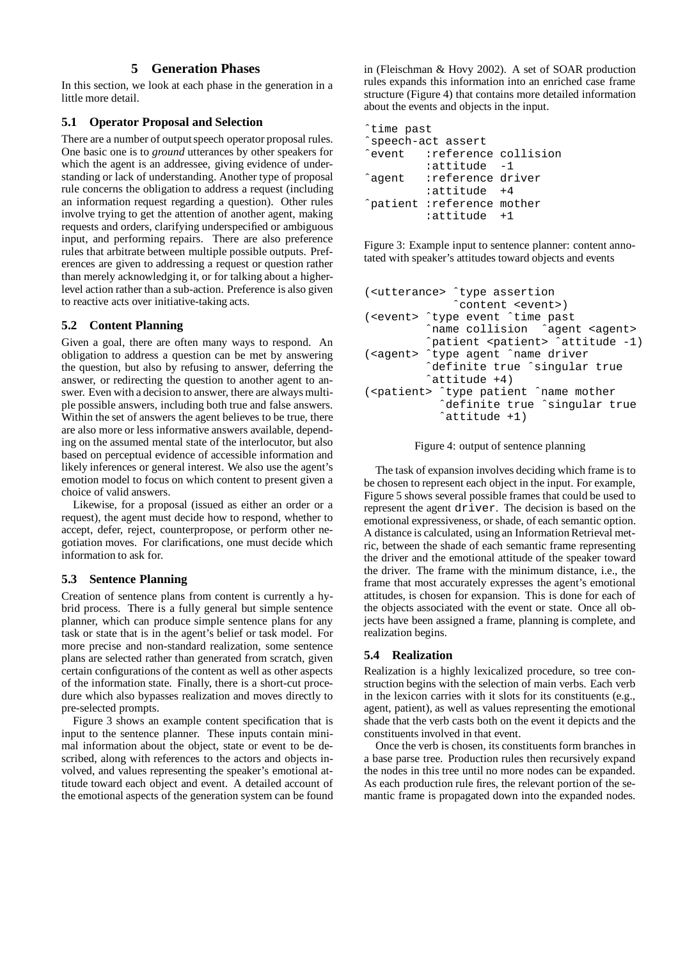## **5 Generation Phases**

In this section, we look at each phase in the generation in a little more detail.

#### **5.1 Operator Proposal and Selection**

There are a number of output speech operator proposal rules. One basic one is to *ground* utterances by other speakers for which the agent is an addressee, giving evidence of understanding or lack of understanding. Another type of proposal rule concerns the obligation to address a request (including an information request regarding a question). Other rules involve trying to get the attention of another agent, making requests and orders, clarifying underspecified or ambiguous input, and performing repairs. There are also preference rules that arbitrate between multiple possible outputs. Preferences are given to addressing a request or question rather than merely acknowledging it, or for talking about a higherlevel action rather than a sub-action. Preference is also given to reactive acts over initiative-taking acts.

## **5.2 Content Planning**

Given a goal, there are often many ways to respond. An obligation to address a question can be met by answering the question, but also by refusing to answer, deferring the answer, or redirecting the question to another agent to answer. Even with a decision to answer, there are always multiple possible answers, including both true and false answers. Within the set of answers the agent believes to be true, there are also more or less informative answers available, depending on the assumed mental state of the interlocutor, but also based on perceptual evidence of accessible information and likely inferences or general interest. We also use the agent's emotion model to focus on which content to present given a choice of valid answers.

Likewise, for a proposal (issued as either an order or a request), the agent must decide how to respond, whether to accept, defer, reject, counterpropose, or perform other negotiation moves. For clarifications, one must decide which information to ask for.

## **5.3 Sentence Planning**

Creation of sentence plans from content is currently a hybrid process. There is a fully general but simple sentence planner, which can produce simple sentence plans for any task or state that is in the agent's belief or task model. For more precise and non-standard realization, some sentence plans are selected rather than generated from scratch, given certain configurations of the content as well as other aspects of the information state. Finally, there is a short-cut procedure which also bypasses realization and moves directly to pre-selected prompts.

Figure 3 shows an example content specification that is input to the sentence planner. These inputs contain minimal information about the object, state or event to be described, along with references to the actors and objects involved, and values representing the speaker's emotional attitude toward each object and event. A detailed account of the emotional aspects of the generation system can be found

in (Fleischman & Hovy 2002). A set of SOAR production rules expands this information into an enriched case frame structure (Figure 4) that contains more detailed information about the events and objects in the input.

| time past |                                          |  |
|-----------|------------------------------------------|--|
|           | ^speech-act assert                       |  |
|           | event : reference collision <sup>*</sup> |  |
|           | attitude -1:                             |  |
| ^aqent    | reference driver:                        |  |
|           | $:$ attitude $+4$                        |  |
|           | ^patient :reference mother               |  |
|           | :attitude +1                             |  |

Figure 3: Example input to sentence planner: content annotated with speaker's attitudes toward objects and events

```
(<utterance> ˆtype assertion
             ˆcontent <event>)
(<event> ˆtype event ˆtime past
         ˆname collision ˆagent <agent>
         ˆpatient <patient> ˆattitude -1)
(<agent> ˆtype agent ˆname driver
         ˆdefinite true ˆsingular true
         ˆattitude +4)
(<patient> ˆtype patient ˆname mother
           ˆdefinite true ˆsingular true
           ˆattitude +1)
```
Figure 4: output of sentence planning

The task of expansion involves deciding which frame is to be chosen to represent each object in the input. For example, Figure 5 shows several possible frames that could be used to represent the agent driver. The decision is based on the emotional expressiveness, or shade, of each semantic option. A distance is calculated, using an InformationRetrieval metric, between the shade of each semantic frame representing the driver and the emotional attitude of the speaker toward the driver. The frame with the minimum distance, i.e., the frame that most accurately expresses the agent's emotional attitudes, is chosen for expansion. This is done for each of the objects associated with the event or state. Once all objects have been assigned a frame, planning is complete, and realization begins.

## **5.4 Realization**

Realization is a highly lexicalized procedure, so tree construction begins with the selection of main verbs. Each verb in the lexicon carries with it slots for its constituents (e.g., agent, patient), as well as values representing the emotional shade that the verb casts both on the event it depicts and the constituents involved in that event.

Once the verb is chosen, its constituents form branches in a base parse tree. Production rules then recursively expand the nodes in this tree until no more nodes can be expanded. As each production rule fires, the relevant portion of the semantic frame is propagated down into the expanded nodes.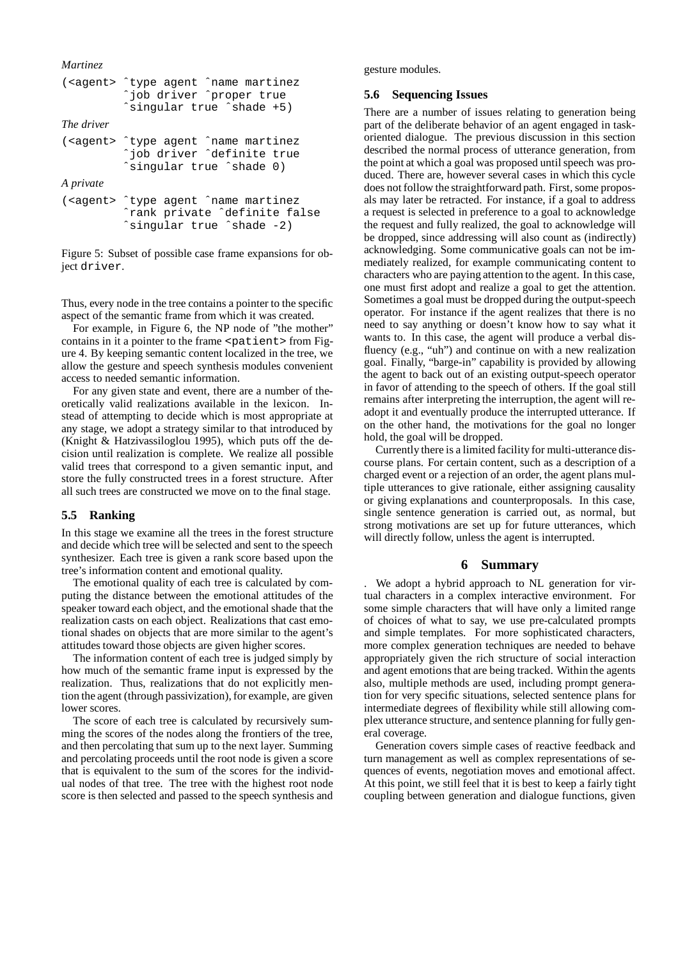```
Martinez
(<agent> ˆtype agent ˆname martinez
         ˆjob driver ˆproper true
         ˆsingular true ˆshade +5)
The driver
(<agent> ˆtype agent ˆname martinez
          ˆjob driver ˆdefinite true
         ˆsingular true ˆshade 0)
A private
(<agent> ˆtype agent ˆname martinez
         ˆrank private ˆdefinite false
         ˆsingular true ˆshade -2)
```
Figure 5: Subset of possible case frame expansions for object driver.

Thus, every node in the tree contains a pointer to the specific aspect of the semantic frame from which it was created.

For example, in Figure 6, the NP node of "the mother" contains in it a pointer to the frame <patient> from Figure 4. By keeping semantic content localized in the tree, we allow the gesture and speech synthesis modules convenient access to needed semantic information.

For any given state and event, there are a number of theoretically valid realizations available in the lexicon. Instead of attempting to decide which is most appropriate at any stage, we adopt a strategy similar to that introduced by (Knight & Hatzivassiloglou 1995), which puts off the decision until realization is complete. We realize all possible valid trees that correspond to a given semantic input, and store the fully constructed trees in a forest structure. After all such trees are constructed we move on to the final stage.

#### **5.5 Ranking**

In this stage we examine all the trees in the forest structure and decide which tree will be selected and sent to the speech synthesizer. Each tree is given a rank score based upon the tree's information content and emotional quality.

The emotional quality of each tree is calculated by computing the distance between the emotional attitudes of the speaker toward each object, and the emotional shade that the realization casts on each object. Realizations that cast emotional shades on objects that are more similar to the agent's attitudes toward those objects are given higher scores.

The information content of each tree is judged simply by how much of the semantic frame input is expressed by the realization. Thus, realizations that do not explicitly mention the agent (through passivization), for example, are given lower scores.

The score of each tree is calculated by recursively summing the scores of the nodes along the frontiers of the tree, and then percolating that sum up to the next layer. Summing and percolating proceeds until the root node is given a score that is equivalent to the sum of the scores for the individual nodes of that tree. The tree with the highest root node score is then selected and passed to the speech synthesis and gesture modules.

#### **5.6 Sequencing Issues**

There are a number of issues relating to generation being part of the deliberate behavior of an agent engaged in taskoriented dialogue. The previous discussion in this section described the normal process of utterance generation, from the point at which a goal was proposed until speech was produced. There are, however several cases in which this cycle does not follow the straightforward path. First, some proposals may later be retracted. For instance, if a goal to address a request is selected in preference to a goal to acknowledge the request and fully realized, the goal to acknowledge will be dropped, since addressing will also count as (indirectly) acknowledging. Some communicative goals can not be immediately realized, for example communicating content to characters who are paying attention to the agent. In this case, one must first adopt and realize a goal to get the attention. Sometimes a goal must be dropped during the output-speech operator. For instance if the agent realizes that there is no need to say anything or doesn't know how to say what it wants to. In this case, the agent will produce a verbal disfluency (e.g., "uh") and continue on with a new realization goal. Finally, "barge-in" capability is provided by allowing the agent to back out of an existing output-speech operator in favor of attending to the speech of others. If the goal still remains after interpreting the interruption, the agent will readopt it and eventually produce the interrupted utterance. If on the other hand, the motivations for the goal no longer hold, the goal will be dropped.

Currently there is a limited facility for multi-utterance discourse plans. For certain content, such as a description of a charged event or a rejection of an order, the agent plans multiple utterances to give rationale, either assigning causality or giving explanations and counterproposals. In this case, single sentence generation is carried out, as normal, but strong motivations are set up for future utterances, which will directly follow, unless the agent is interrupted.

#### **6 Summary**

. We adopt a hybrid approach to NL generation for virtual characters in a complex interactive environment. For some simple characters that will have only a limited range of choices of what to say, we use pre-calculated prompts and simple templates. For more sophisticated characters, more complex generation techniques are needed to behave appropriately given the rich structure of social interaction and agent emotions that are being tracked. Within the agents also, multiple methods are used, including prompt generation for very specific situations, selected sentence plans for intermediate degrees of flexibility while still allowing complex utterance structure, and sentence planning for fully general coverage.

Generation covers simple cases of reactive feedback and turn management as well as complex representations of sequences of events, negotiation moves and emotional affect. At this point, we still feel that it is best to keep a fairly tight coupling between generation and dialogue functions, given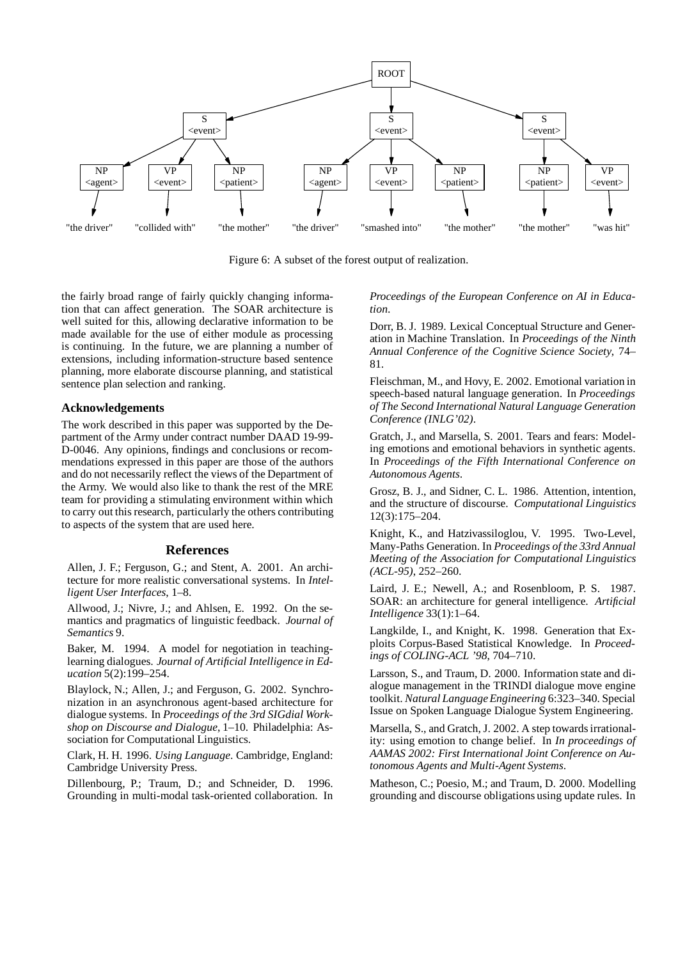

Figure 6: A subset of the forest output of realization.

the fairly broad range of fairly quickly changing information that can affect generation. The SOAR architecture is well suited for this, allowing declarative information to be made available for the use of either module as processing is continuing. In the future, we are planning a number of extensions, including information-structure based sentence planning, more elaborate discourse planning, and statistical sentence plan selection and ranking.

#### **Acknowledgements**

The work described in this paper was supported by the Department of the Army under contract number DAAD 19-99- D-0046. Any opinions, findings and conclusions or recommendations expressed in this paper are those of the authors and do not necessarily reflect the views of the Department of the Army. We would also like to thank the rest of the MRE team for providing a stimulating environment within which to carry out this research, particularly the others contributing to aspects of the system that are used here.

#### **References**

Allen, J. F.; Ferguson, G.; and Stent, A. 2001. An architecture for more realistic conversational systems. In *Intelligent User Interfaces*, 1–8.

Allwood, J.; Nivre, J.; and Ahlsen, E. 1992. On the semantics and pragmatics of linguistic feedback. *Journal of Semantics* 9.

Baker, M. 1994. A model for negotiation in teachinglearning dialogues. *Journal of Artificial Intelligence in Education* 5(2):199–254.

Blaylock, N.; Allen, J.; and Ferguson, G. 2002. Synchronization in an asynchronous agent-based architecture for dialogue systems. In *Proceedings of the 3rd SIGdial Workshop on Discourse and Dialogue*, 1–10. Philadelphia: Association for Computational Linguistics.

Clark, H. H. 1996. *Using Language*. Cambridge, England: Cambridge University Press.

Dillenbourg, P.; Traum, D.; and Schneider, D. 1996. Grounding in multi-modal task-oriented collaboration. In

*Proceedings of the European Conference on AI in Education*.

Dorr, B. J. 1989. Lexical Conceptual Structure and Generation in Machine Translation. In *Proceedings of the Ninth Annual Conference of the Cognitive Science Society*, 74– 81.

Fleischman, M., and Hovy, E. 2002. Emotional variation in speech-based natural language generation. In *Proceedings of The Second International Natural Language Generation Conference (INLG'02)*.

Gratch, J., and Marsella, S. 2001. Tears and fears: Modeling emotions and emotional behaviors in synthetic agents. In *Proceedings of the Fifth International Conference on Autonomous Agents*.

Grosz, B. J., and Sidner, C. L. 1986. Attention, intention, and the structure of discourse. *Computational Linguistics* 12(3):175–204.

Knight, K., and Hatzivassiloglou, V. 1995. Two-Level, Many-Paths Generation. In *Proceedings of the 33rd Annual Meeting of the Association for Computational Linguistics (ACL-95)*, 252–260.

Laird, J. E.; Newell, A.; and Rosenbloom, P. S. 1987. SOAR: an architecture for general intelligence. *Artificial Intelligence* 33(1):1–64.

Langkilde, I., and Knight, K. 1998. Generation that Exploits Corpus-Based Statistical Knowledge. In *Proceedings of COLING-ACL '98*, 704–710.

Larsson, S., and Traum, D. 2000. Information state and dialogue management in the TRINDI dialogue move engine toolkit. *Natural LanguageEngineering* 6:323–340. Special Issue on Spoken Language Dialogue System Engineering.

Marsella, S., and Gratch, J. 2002. A step towards irrationality: using emotion to change belief. In *In proceedings of AAMAS 2002: First International Joint Conference on Autonomous Agents and Multi-Agent Systems*.

Matheson, C.; Poesio, M.; and Traum, D. 2000. Modelling grounding and discourse obligations using update rules. In